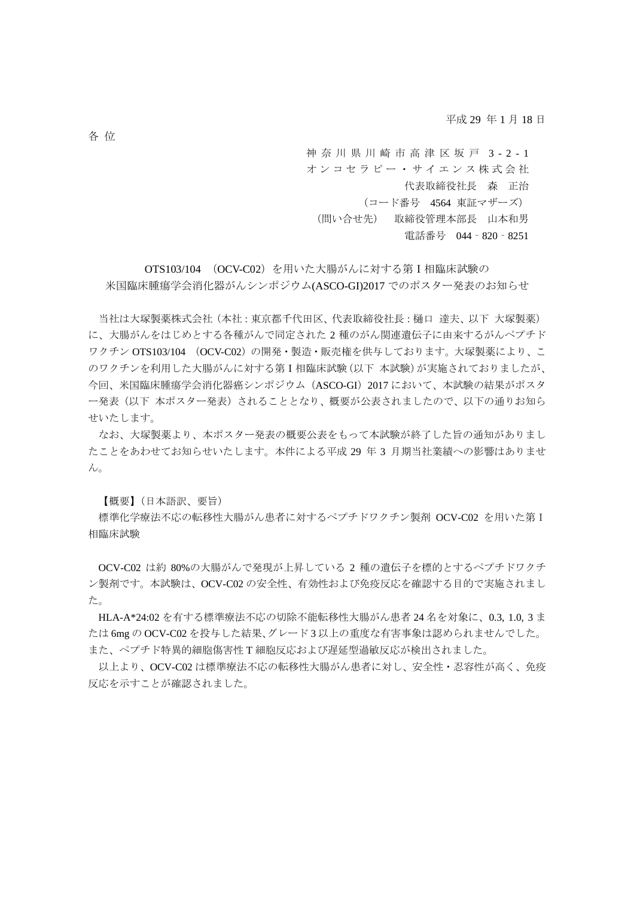平成 29 年 1 月 18 日

神奈川県川崎市高津区坂戸 3-2-1 オンコセラピー・サイエンス株式会社 代表取締役社長 森 正治 (コード番号 4564 東証マザーズ) (問い合せ先) 取締役管理本部長 山本和男 電話番号 044‐820‐8251

OTS103/104 (OCV-C02)を用いた大腸がんに対する第Ⅰ相臨床試験の 米国臨床腫瘍学会消化器がんシンポジウム(ASCO-GI)2017 でのポスター発表のお知らせ

当社は大塚製薬株式会社(本社:東京都千代田区、代表取締役社長:樋口 達夫、以下 大塚製薬) に、大腸がんをはじめとする各種がんで同定された 2 種のがん関連遺伝子に由来するがんペプチド ワクチン OTS103/104 (OCV-C02)の開発・製造・販売権を供与しております。大塚製薬により、こ のワクチンを利用した大腸がんに対する第Ⅰ相臨床試験(以下 本試験)が実施されておりましたが、 今回、米国臨床腫瘍学会消化器癌シンポジウム(ASCO-GI)2017 において、本試験の結果がポスタ ー発表(以下 本ポスター発表)されることとなり、概要が公表されましたので、以下の通りお知ら せいたします。

なお、大塚製薬より、本ポスター発表の概要公表をもって本試験が終了した旨の通知がありまし たことをあわせてお知らせいたします。本件による平成 29 年 3 月期当社業績への影響はありませ  $h_{\circ}$ 

【概要】(日本語訳、要旨)

標準化学療法不応の転移性大腸がん患者に対するペプチドワクチン製剤 OCV-C02 を用いた第I 相臨床試験

OCV-C02 は約 80%の大腸がんで発現が上昇している 2 種の遺伝子を標的とするペプチドワクチ ン製剤です。本試験は、OCV-C02 の安全性、有効性および免疫反応を確認する目的で実施されまし た。

HLA-A\*24:02 を有する標準療法不応の切除不能転移性大腸がん患者 24 名を対象に、0.3, 1.0, 3 ま たは 6mg の OCV-C02 を投与した結果、グレード 3 以上の重度な有害事象は認められませんでした。 また、ペプチド特異的細胞傷害性 T 細胞反応および遅延型過敏反応が検出されました。

以上より、OCV-C02 は標準療法不応の転移性大腸がん患者に対し、安全性・忍容性が高く、免疫 反応を示すことが確認されました。